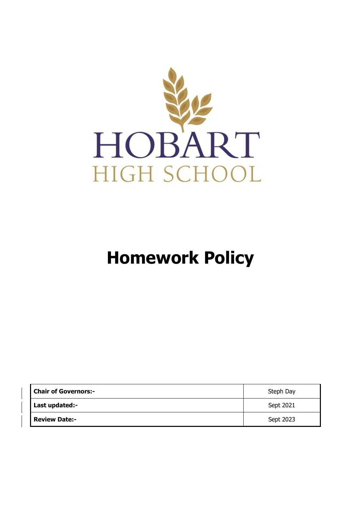

# **Homework Policy**

| <b>Chair of Governors:-</b> | Steph Day |
|-----------------------------|-----------|
| Last updated:-              | Sept 2021 |
| <b>Review Date:-</b>        | Sept 2023 |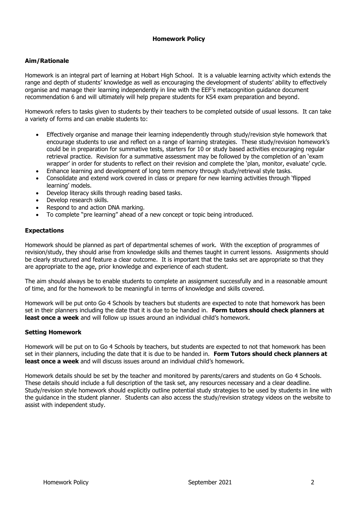## **Homework Policy**

## **Aim/Rationale**

Homework is an integral part of learning at Hobart High School. It is a valuable learning activity which extends the range and depth of students' knowledge as well as encouraging the development of students' ability to effectively organise and manage their learning independently in line with the EEF's metacognition guidance document recommendation 6 and will ultimately will help prepare students for KS4 exam preparation and beyond.

Homework refers to tasks given to students by their teachers to be completed outside of usual lessons. It can take a variety of forms and can enable students to:

- Effectively organise and manage their learning independently through study/revision style homework that encourage students to use and reflect on a range of learning strategies. These study/revision homework's could be in preparation for summative tests, starters for 10 or study based activities encouraging regular retrieval practice. Revision for a summative assessment may be followed by the completion of an 'exam wrapper' in order for students to reflect on their revision and complete the 'plan, monitor, evaluate' cycle.
- Enhance learning and development of long term memory through study/retrieval style tasks.
- Consolidate and extend work covered in class or prepare for new learning activities through 'flipped learning' models.
- Develop literacy skills through reading based tasks.
- Develop research skills.
- Respond to and action DNA marking.
- To complete "pre learning" ahead of a new concept or topic being introduced.

#### **Expectations**

Homework should be planned as part of departmental schemes of work. With the exception of programmes of revision/study, they should arise from knowledge skills and themes taught in current lessons. Assignments should be clearly structured and feature a clear outcome. It is important that the tasks set are appropriate so that they are appropriate to the age, prior knowledge and experience of each student.

The aim should always be to enable students to complete an assignment successfully and in a reasonable amount of time, and for the homework to be meaningful in terms of knowledge and skills covered.

Homework will be put onto Go 4 Schools by teachers but students are expected to note that homework has been set in their planners including the date that it is due to be handed in. **Form tutors should check planners at least once a week** and will follow up issues around an individual child's homework.

### **Setting Homework**

Homework will be put on to Go 4 Schools by teachers, but students are expected to not that homework has been set in their planners, including the date that it is due to be handed in. **Form Tutors should check planners at least once a week** and will discuss issues around an individual child's homework.

Homework details should be set by the teacher and monitored by parents/carers and students on Go 4 Schools. These details should include a full description of the task set, any resources necessary and a clear deadline. Study/revision style homework should explicitly outline potential study strategies to be used by students in line with the guidance in the student planner. Students can also access the study/revision strategy videos on the website to assist with independent study.